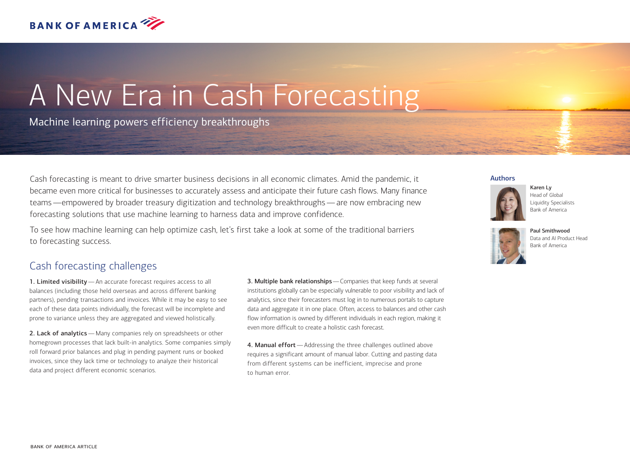

# A New Era in Cash Forecasting

Machine learning powers efficiency breakthroughs

Cash forecasting is meant to drive smarter business decisions in all economic climates. Amid the pandemic, it became even more critical for businesses to accurately assess and anticipate their future cash flows. Many finance teams—empowered by broader treasury digitization and technology breakthroughs—are now embracing new forecasting solutions that use machine learning to harness data and improve confidence.

To see how machine learning can help optimize cash, let's first take a look at some of the traditional barriers to forecasting success.

## Cash forecasting challenges

1. Limited visibility—An accurate forecast requires access to all balances (including those held overseas and across different banking partners), pending transactions and invoices. While it may be easy to see each of these data points individually, the forecast will be incomplete and prone to variance unless they are aggregated and viewed holistically.

2. Lack of analytics - Many companies rely on spreadsheets or other homegrown processes that lack built-in analytics. Some companies simply roll forward prior balances and plug in pending payment runs or booked invoices, since they lack time or technology to analyze their historical data and project different economic scenarios.

3. Multiple bank relationships—Companies that keep funds at several institutions globally can be especially vulnerable to poor visibility and lack of analytics, since their forecasters must log in to numerous portals to capture data and aggregate it in one place. Often, access to balances and other cash flow information is owned by different individuals in each region, making it even more difficult to create a holistic cash forecast.

4. Manual effort - Addressing the three challenges outlined above requires a significant amount of manual labor. Cutting and pasting data from different systems can be inefficient, imprecise and prone to human error.

#### Authors







Paul Smithwood Data and AI Product Head Bank of America